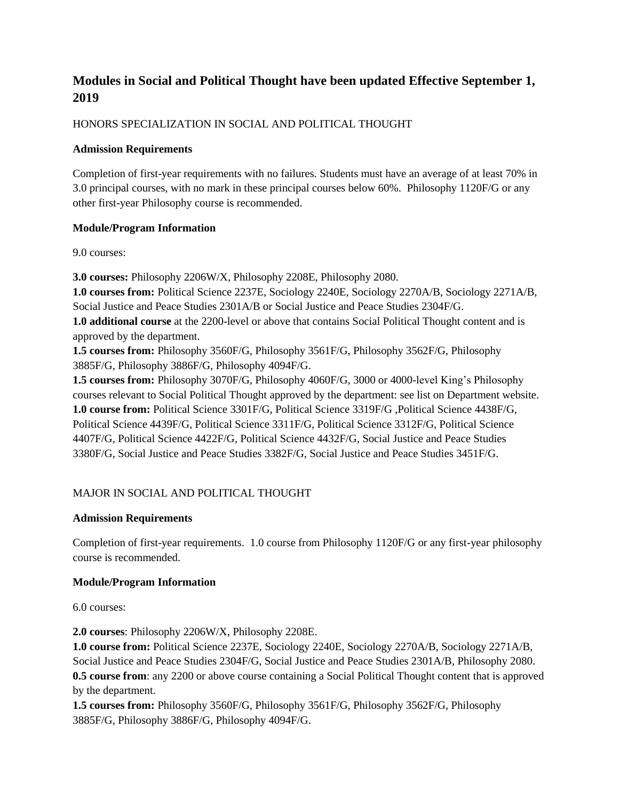# **Modules in Social and Political Thought have been updated Effective September 1, 2019**

#### HONORS SPECIALIZATION IN SOCIAL AND POLITICAL THOUGHT

#### **Admission Requirements**

Completion of first-year requirements with no failures. Students must have an average of at least 70% in 3.0 principal courses, with no mark in these principal courses below 60%. Philosophy 1120F/G or any other first-year Philosophy course is recommended.

## **Module/Program Information**

9.0 courses:

**3.0 courses:** Philosophy 2206W/X, Philosophy 2208E, Philosophy 2080.

**1.0 courses from:** Political Science 2237E, Sociology 2240E, Sociology 2270A/B, Sociology 2271A/B, Social Justice and Peace Studies 2301A/B or Social Justice and Peace Studies 2304F/G.

**1.0 additional course** at the 2200-level or above that contains Social Political Thought content and is approved by the department.

**1.5 courses from:** Philosophy 3560F/G, Philosophy 3561F/G, Philosophy 3562F/G, Philosophy 3885F/G, Philosophy 3886F/G, Philosophy 4094F/G.

**1.5 courses from:** Philosophy 3070F/G, Philosophy 4060F/G, 3000 or 4000-level King's Philosophy courses relevant to Social Political Thought approved by the department: see list on Department website. **1.0 course from:** Political Science 3301F/G, Political Science 3319F/G ,Political Science 4438F/G, Political Science 4439F/G, Political Science 3311F/G, Political Science 3312F/G, Political Science 4407F/G, Political Science 4422F/G, Political Science 4432F/G, Social Justice and Peace Studies 3380F/G, Social Justice and Peace Studies 3382F/G, Social Justice and Peace Studies 3451F/G.

## MAJOR IN SOCIAL AND POLITICAL THOUGHT

## **Admission Requirements**

Completion of first-year requirements. 1.0 course from Philosophy 1120F/G or any first-year philosophy course is recommended.

## **Module/Program Information**

6.0 courses:

**2.0 courses**: Philosophy 2206W/X, Philosophy 2208E.

**1.0 course from:** Political Science 2237E, Sociology 2240E, Sociology 2270A/B, Sociology 2271A/B, Social Justice and Peace Studies 2304F/G, Social Justice and Peace Studies 2301A/B, Philosophy 2080. **0.5 course from**: any 2200 or above course containing a Social Political Thought content that is approved by the department.

**1.5 courses from:** Philosophy 3560F/G, Philosophy 3561F/G, Philosophy 3562F/G, Philosophy 3885F/G, Philosophy 3886F/G, Philosophy 4094F/G.